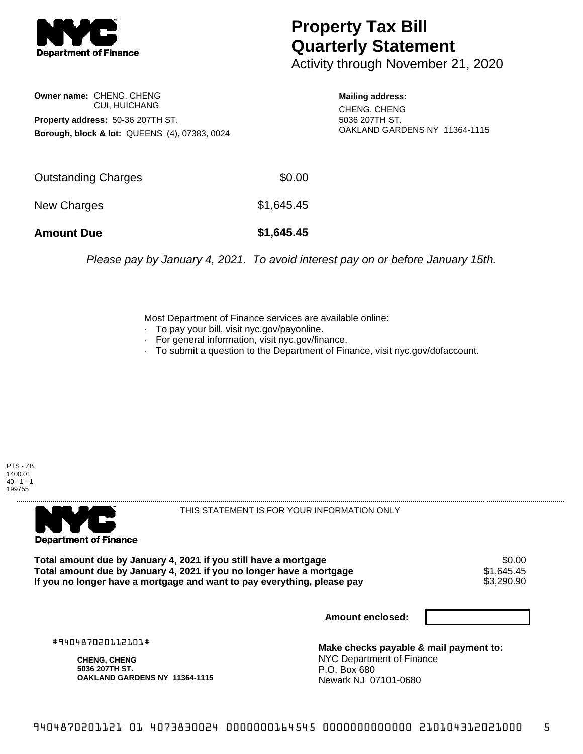

## **Property Tax Bill Quarterly Statement**

Activity through November 21, 2020

## **Owner name:** CHENG, CHENG CUI, HUICHANG **Property address:** 50-36 207TH ST. **Borough, block & lot:** QUEENS (4), 07383, 0024

**Mailing address:** CHENG, CHENG 5036 207TH ST. OAKLAND GARDENS NY 11364-1115

| <b>Amount Due</b>   | \$1,645.45 |
|---------------------|------------|
| New Charges         | \$1,645.45 |
| Outstanding Charges | \$0.00     |

Please pay by January 4, 2021. To avoid interest pay on or before January 15th.

Most Department of Finance services are available online:

- · To pay your bill, visit nyc.gov/payonline.
- For general information, visit nyc.gov/finance.
- · To submit a question to the Department of Finance, visit nyc.gov/dofaccount.





THIS STATEMENT IS FOR YOUR INFORMATION ONLY

Total amount due by January 4, 2021 if you still have a mortgage \$0.00<br>Total amount due by January 4, 2021 if you no longer have a mortgage \$1.645.45 **Total amount due by January 4, 2021 if you no longer have a mortgage**  $$1,645.45$ **<br>If you no longer have a mortgage and want to pay everything, please pay**  $$3,290.90$ If you no longer have a mortgage and want to pay everything, please pay

**Amount enclosed:**

#940487020112101#

**CHENG, CHENG 5036 207TH ST. OAKLAND GARDENS NY 11364-1115**

**Make checks payable & mail payment to:** NYC Department of Finance P.O. Box 680 Newark NJ 07101-0680